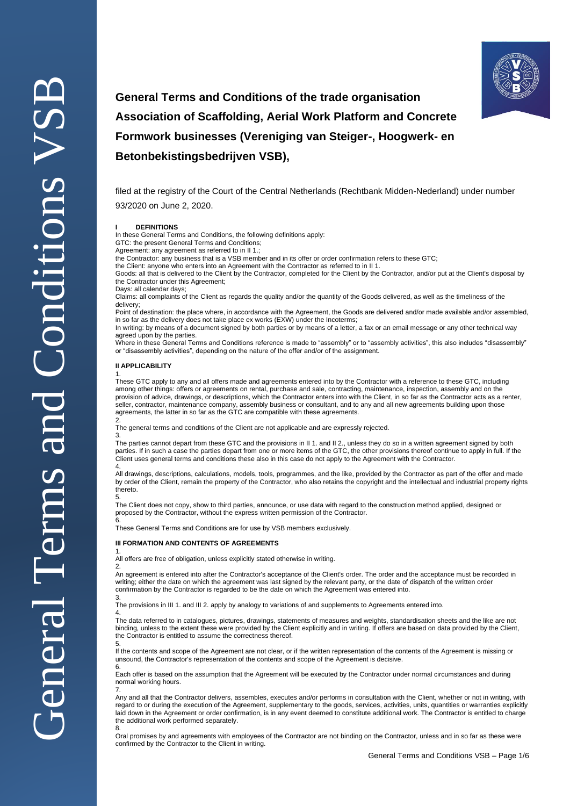

# **General Terms and Conditions of the trade organisation Association of Scaffolding, Aerial Work Platform and Concrete Formwork businesses (Vereniging van Steiger-, Hoogwerk- en Betonbekistingsbedrijven VSB),**

filed at the registry of the Court of the Central Netherlands (Rechtbank Midden-Nederland) under number 93/2020 on June 2, 2020.

#### **I DEFINITIONS**

In these General Terms and Conditions, the following definitions apply:

GTC: the present General Terms and Conditions; Agreement: any agreement as referred to in II 1.;

the Contractor: any business that is a VSB member and in its offer or order confirmation refers to these GTC;

the Client: anyone who enters into an Agreement with the Contractor as referred to in II 1.

Goods: all that is delivered to the Client by the Contractor, completed for the Client by the Contractor, and/or put at the Client's disposal by the Contractor under this Agreement;

Days: all calendar days;

Claims: all complaints of the Client as regards the quality and/or the quantity of the Goods delivered, as well as the timeliness of the delivery

Point of destination: the place where, in accordance with the Agreement, the Goods are delivered and/or made available and/or assembled. in so far as the delivery does not take place ex works (EXW) under the Incoterms;

In writing: by means of a document signed by both parties or by means of a letter, a fax or an email message or any other technical way agreed upon by the parties.

Where in these General Terms and Conditions reference is made to "assembly" or to "assembly activities", this also includes "disassembly" or "disassembly activities", depending on the nature of the offer and/or of the assignment.

#### **II APPLICABILITY**

3.

4.

5.

1. These GTC apply to any and all offers made and agreements entered into by the Contractor with a reference to these GTC, including among other things: offers or agreements on rental, purchase and sale, contracting, maintenance, inspection, assembly and on the provision of advice, drawings, or descriptions, which the Contractor enters into with the Client, in so far as the Contractor acts as a renter, seller, contractor, maintenance company, assembly business or consultant, and to any and all new agreements building upon those agreements, the latter in so far as the GTC are compatible with these agreements.

2. The general terms and conditions of the Client are not applicable and are expressly rejected.

The parties cannot depart from these GTC and the provisions in II 1. and II 2., unless they do so in a written agreement signed by both parties. If in such a case the parties depart from one or more items of the GTC, the other provisions thereof continue to apply in full. If the Client uses general terms and conditions these also in this case do not apply to the Agreement with the Contractor. 4.

All drawings, descriptions, calculations, models, tools, programmes, and the like, provided by the Contractor as part of the offer and made by order of the Client, remain the property of the Contractor, who also retains the copyright and the intellectual and industrial property rights thereto. 5.

The Client does not copy, show to third parties, announce, or use data with regard to the construction method applied, designed or proposed by the Contractor, without the express written permission of the Contractor.

6. These General Terms and Conditions are for use by VSB members exclusively.

#### **III FORMATION AND CONTENTS OF AGREEMENTS**

1. All offers are free of obligation, unless explicitly stated otherwise in writing.

2. An agreement is entered into after the Contractor's acceptance of the Client's order. The order and the acceptance must be recorded in writing; either the date on which the agreement was last signed by the relevant party, or the date of dispatch of the written order confirmation by the Contractor is regarded to be the date on which the Agreement was entered into.

3. The provisions in III 1. and III 2. apply by analogy to variations of and supplements to Agreements entered into.

The data referred to in catalogues, pictures, drawings, statements of measures and weights, standardisation sheets and the like are not binding, unless to the extent these were provided by the Client explicitly and in writing. If offers are based on data provided by the Client, the Contractor is entitled to assume the correctness thereof.

If the contents and scope of the Agreement are not clear, or if the written representation of the contents of the Agreement is missing or unsound, the Contractor's representation of the contents and scope of the Agreement is decisive. 6.

Each offer is based on the assumption that the Agreement will be executed by the Contractor under normal circumstances and during normal working hours.

7. Any and all that the Contractor delivers, assembles, executes and/or performs in consultation with the Client, whether or not in writing, with regard to or during the execution of the Agreement, supplementary to the goods, services, activities, units, quantities or warranties explicitly laid down in the Agreement or order confirmation, is in any event deemed to constitute additional work. The Contractor is entitled to charge the additional work performed separately. 8.

Oral promises by and agreements with employees of the Contractor are not binding on the Contractor, unless and in so far as these were confirmed by the Contractor to the Client in writing.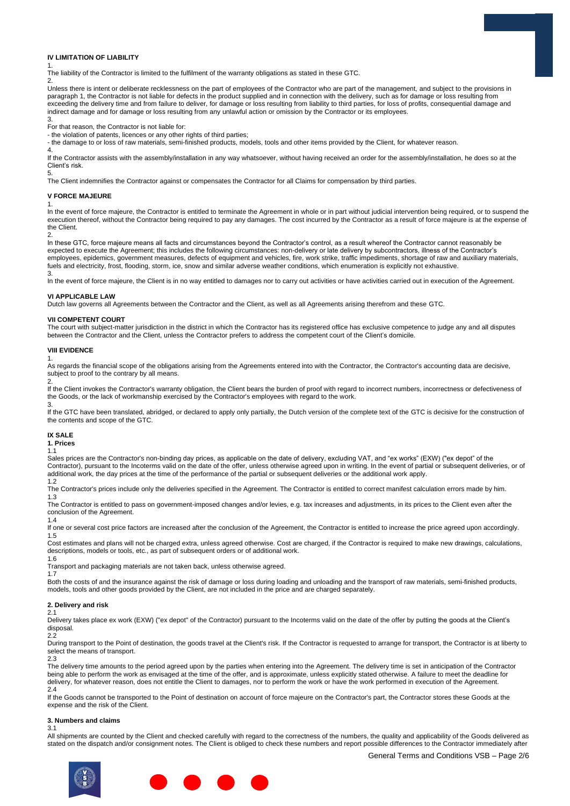

## **IV LIMITATION OF LIABILITY**

1. The liability of the Contractor is limited to the fulfilment of the warranty obligations as stated in these GTC.

Unless there is intent or deliberate recklessness on the part of employees of the Contractor who are part of the management, and subject to the provisions in paragraph 1, the Contractor is not liable for defects in the product supplied and in connection with the delivery, such as for damage or loss resulting from exceeding the delivery time and from failure to deliver, for damage or loss resulting from liability to third parties, for loss of profits, consequential damage and indirect damage and for damage or loss resulting from any unlawful action or omission by the Contractor or its employees.

3. For that reason, the Contractor is not liable for:

- the violation of patents, licences or any other rights of third parties;

- the damage to or loss of raw materials, semi-finished products, models, tools and other items provided by the Client, for whatever reason.

4. If the Contractor assists with the assembly/installation in any way whatsoever, without having received an order for the assembly/installation, he does so at the Client's risk.

5. The Client indemnifies the Contractor against or compensates the Contractor for all Claims for compensation by third parties.

#### **V FORCE MAJEURE**

1.

 $\mathcal{D}$ 

2.

In the event of force majeure, the Contractor is entitled to terminate the Agreement in whole or in part without judicial intervention being required, or to suspend the execution thereof, without the Contractor being required to pay any damages. The cost incurred by the Contractor as a result of force majeure is at the expense of the Client.

In these GTC, force majeure means all facts and circumstances beyond the Contractor's control, as a result whereof the Contractor cannot reasonably be expected to execute the Agreement; this includes the following circumstances: non-delivery or late delivery by subcontractors, illness of the Contractor's employees, epidemics, government measures, defects of equipment and vehicles, fire, work strike, traffic impediments, shortage of raw and auxiliary materials, fuels and electricity, frost, flooding, storm, ice, snow and similar adverse weather conditions, which enumeration is explicitly not exhaustive. 3.

In the event of force majeure, the Client is in no way entitled to damages nor to carry out activities or have activities carried out in execution of the Agreement.

#### **VI APPLICABLE LAW**

Dutch law governs all Agreements between the Contractor and the Client, as well as all Agreements arising therefrom and these GTC.

#### **VII COMPETENT COURT**

The court with subject-matter jurisdiction in the district in which the Contractor has its registered office has exclusive competence to judge any and all disputes between the Contractor and the Client, unless the Contractor prefers to address the competent court of the Client's domicile.

#### **VIII EVIDENCE**

1. As regards the financial scope of the obligations arising from the Agreements entered into with the Contractor, the Contractor's accounting data are decisive, subject to proof to the contrary by all means.

2.

If the Client invokes the Contractor's warranty obligation, the Client bears the burden of proof with regard to incorrect numbers, incorrectness or defectiveness of the Goods, or the lack of workmanship exercised by the Contractor's employees with regard to the work. 3.

If the GTC have been translated, abridged, or declared to apply only partially, the Dutch version of the complete text of the GTC is decisive for the construction of the contents and scope of the GTC.

## **IX SALE**

# **1. Prices**

1.1 Sales prices are the Contractor's non-binding day prices, as applicable on the date of delivery, excluding VAT, and "ex works" (EXW) ("ex depot" of the Contractor), pursuant to the Incoterms valid on the date of the offer, unless otherwise agreed upon in writing. In the event of partial or subsequent deliveries, or of additional work, the day prices at the time of the performance of the partial or subsequent deliveries or the additional work apply.

1.2

The Contractor's prices include only the deliveries specified in the Agreement. The Contractor is entitled to correct manifest calculation errors made by him. 1.3

The Contractor is entitled to pass on government-imposed changes and/or levies, e.g. tax increases and adjustments, in its prices to the Client even after the conclusion of the Agreement.

1.4

If one or several cost price factors are increased after the conclusion of the Agreement, the Contractor is entitled to increase the price agreed upon accordingly. 1.5

Cost estimates and plans will not be charged extra, unless agreed otherwise. Cost are charged, if the Contractor is required to make new drawings, calculations, descriptions, models or tools, etc., as part of subsequent orders or of additional work.

1.6

Transport and packaging materials are not taken back, unless otherwise agreed.

1.7

Both the costs of and the insurance against the risk of damage or loss during loading and unloading and the transport of raw materials, semi-finished products, models, tools and other goods provided by the Client, are not included in the price and are charged separately.

### **2. Delivery and risk**

#### 2.1

Delivery takes place ex work (EXW) ("ex depot" of the Contractor) pursuant to the Incoterms valid on the date of the offer by putting the goods at the Client's disposal.

22

During transport to the Point of destination, the goods travel at the Client's risk. If the Contractor is requested to arrange for transport, the Contractor is at liberty to select the means of transport.

 $2.3$ 

The delivery time amounts to the period agreed upon by the parties when entering into the Agreement. The delivery time is set in anticipation of the Contractor being able to perform the work as envisaged at the time of the offer, and is approximate, unless explicitly stated otherwise. A failure to meet the deadline for delivery, for whatever reason, does not entitle the Client to damages, nor to perform the work or have the work performed in execution of the Agreement.  $2.4$ 

If the Goods cannot be transported to the Point of destination on account of force majeure on the Contractor's part, the Contractor stores these Goods at the expense and the risk of the Client.

#### **3. Numbers and claims**

3.1

All shipments are counted by the Client and checked carefully with regard to the correctness of the numbers, the quality and applicability of the Goods delivered as stated on the dispatch and/or consignment notes. The Client is obliged to check these numbers and report possible differences to the Contractor immediately after

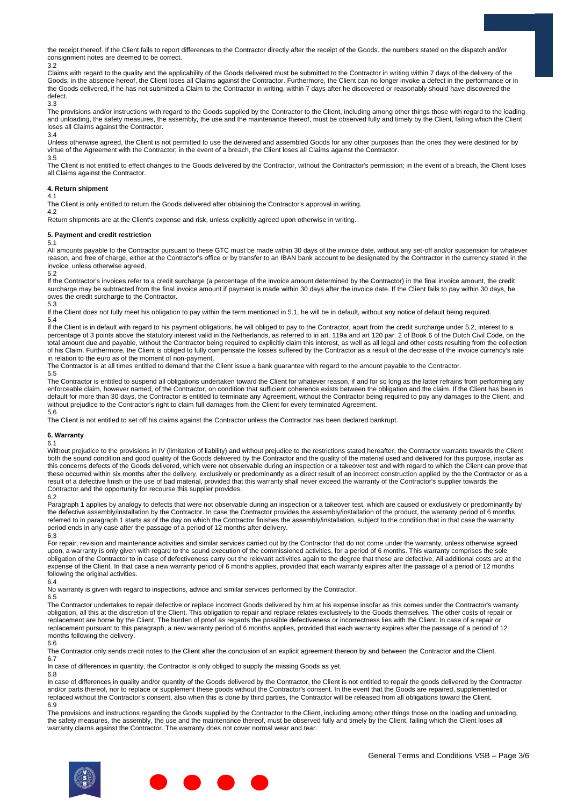the receipt thereof. If the Client fails to report differences to the Contractor directly after the receipt of the Goods, the numbers stated on the dispatch and/or consignment notes are deemed to be correct. 3.2

Claims with regard to the quality and the applicability of the Goods delivered must be submitted to the Contractor in writing within 7 days of the delivery of the Goods; in the absence hereof, the Client loses all Claims against the Contractor. Furthermore, the Client can no longer invoke a defect in the performance or in the Goods delivered, if he has not submitted a Claim to the Contractor in writing, within 7 days after he discovered or reasonably should have discovered the defect.

3.3

The provisions and/or instructions with regard to the Goods supplied by the Contractor to the Client, including among other things those with regard to the loading and unloading, the safety measures, the assembly, the use and the maintenance thereof, must be observed fully and timely by the Client, failing which the Client loses all Claims against the Contractor.

3.4

Unless otherwise agreed, the Client is not permitted to use the delivered and assembled Goods for any other purposes than the ones they were destined for by virtue of the Agreement with the Contractor; in the event of a breach, the Client loses all Claims against the Contractor. 3.5

The Client is not entitled to effect changes to the Goods delivered by the Contractor, without the Contractor's permission; in the event of a breach, the Client loses all Claims against the Contractor.

### **4. Return shipment**

4.1

The Client is only entitled to return the Goods delivered after obtaining the Contractor's approval in writing. 4.2

Return shipments are at the Client's expense and risk, unless explicitly agreed upon otherwise in writing.

#### **5. Payment and credit restriction** 5.1

All amounts payable to the Contractor pursuant to these GTC must be made within 30 days of the invoice date, without any set-off and/or suspension for whatever reason, and free of charge, either at the Contractor's office or by transfer to an IBAN bank account to be designated by the Contractor in the currency stated in the invoice, unless otherwise agreed. 5.2

If the Contractor's invoices refer to a credit surcharge (a percentage of the invoice amount determined by the Contractor) in the final invoice amount, the credit surcharge may be subtracted from the final invoice amount if payment is made within 30 days after the invoice date. If the Client fails to pay within 30 days, he owes the credit surcharge to the Contractor.

5.3

If the Client does not fully meet his obligation to pay within the term mentioned in 5.1, he will be in default, without any notice of default being required. 5.4

If the Client is in default with regard to his payment obligations, he will obliged to pay to the Contractor, apart from the credit surcharge under 5.2, interest to a percentage of 3 points above the statutory interest valid in the Netherlands, as referred to in art. 119a and art 120 par. 2 of Book 6 of the Dutch Civil Code, on the total amount due and payable, without the Contractor being required to explicitly claim this interest, as well as all legal and other costs resulting from the collection of his Claim. Furthermore, the Client is obliged to fully compensate the losses suffered by the Contractor as a result of the decrease of the invoice currency's rate in relation to the euro as of the moment of non-payment.

The Contractor is at all times entitled to demand that the Client issue a bank guarantee with regard to the amount payable to the Contractor. 5.5

The Contractor is entitled to suspend all obligations undertaken toward the Client for whatever reason, if and for so long as the latter refrains from performing any enforceable claim, however named, of the Contractor, on condition that sufficient coherence exists between the obligation and the claim. If the Client has been in default for more than 30 days, the Contractor is entitled to terminate any Agreement, without the Contractor being required to pay any damages to the Client, and without prejudice to the Contractor's right to claim full damages from the Client for every terminated Agreement. 5.6

The Client is not entitled to set off his claims against the Contractor unless the Contractor has been declared bankrupt.

#### **6. Warranty**

6.1

Without prejudice to the provisions in IV (limitation of liability) and without prejudice to the restrictions stated hereafter, the Contractor warrants towards the Client both the sound condition and good quality of the Goods delivered by the Contractor and the quality of the material used and delivered for this purpose, insofar as this concerns defects of the Goods delivered, which were not observable during an inspection or a takeover test and with regard to which the Client can prove that these occurred within six months after the delivery, exclusively or predominantly as a direct result of an incorrect construction applied by the the Contractor or as a result of a defective finish or the use of bad material, provided that this warranty shall never exceed the warranty of the Contractor's supplier towards the Contractor and the opportunity for recourse this supplier provides.

6.2

Paragraph 1 applies by analogy to defects that were not observable during an inspection or a takeover test, which are caused or exclusively or predominantly by the defective assembly/installation by the Contractor. In case the Contractor provides the assembly/installation of the product, the warranty period of 6 months referred to in paragraph 1 starts as of the day on which the Contractor finishes the assembly/installation, subject to the condition that in that case the warranty period ends in any case after the passage of a period of 12 months after delivery. 6.3

For repair, revision and maintenance activities and similar services carried out by the Contractor that do not come under the warranty, unless otherwise agreed upon, a warranty is only given with regard to the sound execution of the commissioned activities, for a period of 6 months. This warranty comprises the sole obligation of the Contractor to in case of defectiveness carry out the relevant activities again to the degree that these are defective. All additional costs are at the expense of the Client. In that case a new warranty period of 6 months applies, provided that each warranty expires after the passage of a period of 12 months following the original activities.

6.4

No warranty is given with regard to inspections, advice and similar services performed by the Contractor.

6.5

The Contractor undertakes to repair defective or replace incorrect Goods delivered by him at his expense insofar as this comes under the Contractor's warranty obligation, all this at the discretion of the Client. This obligation to repair and replace relates exclusively to the Goods themselves. The other costs of repair or replacement are borne by the Client. The burden of proof as regards the possible defectiveness or incorrectness lies with the Client. In case of a repair or replacement pursuant to this paragraph, a new warranty period of 6 months applies, provided that each warranty expires after the passage of a period of 12 months following the delivery.

6.6

The Contractor only sends credit notes to the Client after the conclusion of an explicit agreement thereon by and between the Contractor and the Client. 6.7

In case of differences in quantity, the Contractor is only obliged to supply the missing Goods as yet.

6.8

In case of differences in quality and/or quantity of the Goods delivered by the Contractor, the Client is not entitled to repair the goods delivered by the Contractor and/or parts thereof, nor to replace or supplement these goods without the Contractor's consent. In the event that the Goods are repaired, supplemented or replaced without the Contractor's consent, also when this is done by third parties, the Contractor will be released from all obligations toward the Client. 6.9

The provisions and instructions regarding the Goods supplied by the Contractor to the Client, including among other things those on the loading and unloading, the safety measures, the assembly, the use and the maintenance thereof, must be observed fully and timely by the Client, failing which the Client loses all warranty claims against the Contractor. The warranty does not cover normal wear and tear.

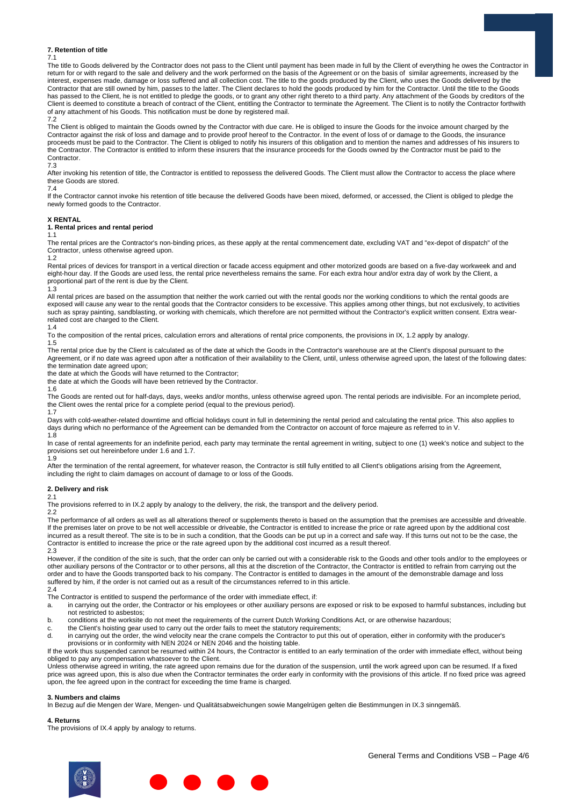#### **7. Retention of title**

7.1

The title to Goods delivered by the Contractor does not pass to the Client until payment has been made in full by the Client of everything he owes the Contractor in return for or with regard to the sale and delivery and the work performed on the basis of the Agreement or on the basis of similar agreements, increased by the interest, expenses made, damage or loss suffered and all collection cost. The title to the goods produced by the Client, who uses the Goods delivered by the Contractor that are still owned by him, passes to the latter. The Client declares to hold the goods produced by him for the Contractor. Until the title to the Goods has passed to the Client, he is not entitled to pledge the goods, or to grant any other right thereto to a third party. Any attachment of the Goods by creditors of the Client is deemed to constitute a breach of contract of the Client, entitling the Contractor to terminate the Agreement. The Client is to notify the Contractor forthwith of any attachment of his Goods. This notification must be done by registered mail. 7.2

The Client is obliged to maintain the Goods owned by the Contractor with due care. He is obliged to insure the Goods for the invoice amount charged by the Contractor against the risk of loss and damage and to provide proof hereof to the Contractor. In the event of loss of or damage to the Goods, the insurance proceeds must be paid to the Contractor. The Client is obliged to notify his insurers of this obligation and to mention the names and addresses of his insurers to the Contractor. The Contractor is entitled to inform these insurers that the insurance proceeds for the Goods owned by the Contractor must be paid to the Contractor.

7.3

After invoking his retention of title, the Contractor is entitled to repossess the delivered Goods. The Client must allow the Contractor to access the place where these Goods are stored.

#### 7.4

If the Contractor cannot invoke his retention of title because the delivered Goods have been mixed, deformed, or accessed, the Client is obliged to pledge the newly formed goods to the Contractor.

#### **X RENTAL**

**1. Rental prices and rental period** 1.1

The rental prices are the Contractor's non-binding prices, as these apply at the rental commencement date, excluding VAT and "ex-depot of dispatch" of the Contractor, unless otherwise agreed upon.

## 1.2

Rental prices of devices for transport in a vertical direction or facade access equipment and other motorized goods are based on a five-day workweek and and eight-hour day. If the Goods are used less, the rental price nevertheless remains the same. For each extra hour and/or extra day of work by the Client, a proportional part of the rent is due by the Client.

#### $1.3$

All rental prices are based on the assumption that neither the work carried out with the rental goods nor the working conditions to which the rental goods are exposed will cause any wear to the rental goods that the Contractor considers to be excessive. This applies among other things, but not exclusively, to activities such as spray painting, sandblasting, or working with chemicals, which therefore are not permitted without the Contractor's explicit written consent. Extra wearrelated cost are charged to the Client.

1.4 To the composition of the rental prices, calculation errors and alterations of rental price components, the provisions in IX, 1.2 apply by analogy.

1.5 The rental price due by the Client is calculated as of the date at which the Goods in the Contractor's warehouse are at the Client's disposal pursuant to the Agreement, or if no date was agreed upon after a notification of their availability to the Client, until, unless otherwise agreed upon, the latest of the following dates:

the termination date agreed upon;

the date at which the Goods will have returned to the Contractor;

the date at which the Goods will have been retrieved by the Contractor.

1.6

The Goods are rented out for half-days, days, weeks and/or months, unless otherwise agreed upon. The rental periods are indivisible. For an incomplete period, the Client owes the rental price for a complete period (equal to the previous period). 1.7

Days with cold-weather-related downtime and official holidays count in full in determining the rental period and calculating the rental price. This also applies to days during which no performance of the Agreement can be demanded from the Contractor on account of force majeure as referred to in V. 1.8

In case of rental agreements for an indefinite period, each party may terminate the rental agreement in writing, subject to one (1) week's notice and subject to the provisions set out hereinbefore under 1.6 and 1.7.  $1.9$ 

After the termination of the rental agreement, for whatever reason, the Contractor is still fully entitled to all Client's obligations arising from the Agreement, including the right to claim damages on account of damage to or loss of the Goods.

#### **2. Delivery and risk**

2.1 The provisions referred to in IX.2 apply by analogy to the delivery, the risk, the transport and the delivery period.

2.2

The performance of all orders as well as all alterations thereof or supplements thereto is based on the assumption that the premises are accessible and driveable. If the premises later on prove to be not well accessible or driveable, the Contractor is entitled to increase the price or rate agreed upon by the additional cost incurred as a result thereof. The site is to be in such a condition, that the Goods can be put up in a correct and safe way. If this turns out not to be the case, the Contractor is entitled to increase the price or the rate agreed upon by the additional cost incurred as a result thereof. 2.3

However, if the condition of the site is such, that the order can only be carried out with a considerable risk to the Goods and other tools and/or to the employees or other auxiliary persons of the Contractor or to other persons, all this at the discretion of the Contractor, the Contractor is entitled to refrain from carrying out the order and to have the Goods transported back to his company. The Contractor is entitled to damages in the amount of the demonstrable damage and loss suffered by him, if the order is not carried out as a result of the circumstances referred to in this article. 2.4

The Contractor is entitled to suspend the performance of the order with immediate effect, if:

- a. in carrying out the order, the Contractor or his employees or other auxiliary persons are exposed or risk to be exposed to harmful substances, including but not restricted to asbestos;
- b. conditions at the worksite do not meet the requirements of the current Dutch Working Conditions Act, or are otherwise hazardous;
- c. the Client's hoisting gear used to carry out the order fails to meet the statutory requirements;<br>d. in carrying out the order, the wind velocity near the crane compels the Contractor to put this

in carrying out the order, the wind velocity near the crane compels the Contractor to put this out of operation, either in conformity with the producer's provisions or in conformity with NEN 2024 or NEN 2046 and the hoisting table.

If the work thus suspended cannot be resumed within 24 hours, the Contractor is entitled to an early termination of the order with immediate effect, without being obliged to pay any compensation whatsoever to the Client.

Unless otherwise agreed in writing, the rate agreed upon remains due for the duration of the suspension, until the work agreed upon can be resumed. If a fixed price was agreed upon, this is also due when the Contractor terminates the order early in conformity with the provisions of this article. If no fixed price was agreed upon, the fee agreed upon in the contract for exceeding the time frame is charged.

#### **3. Numbers and claims**

In Bezug auf die Mengen der Ware, Mengen- und Qualitätsabweichungen sowie Mangelrügen gelten die Bestimmungen in IX.3 sinngemäß.

#### **4. Returns**

The provisions of IX.4 apply by analogy to returns.

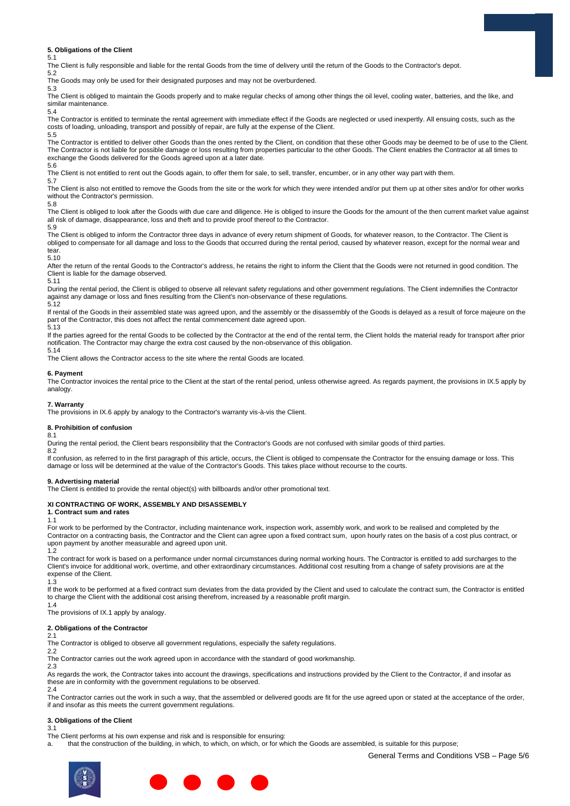#### **5. Obligations of the Client**

5.1

The Client is fully responsible and liable for the rental Goods from the time of delivery until the return of the Goods to the Contractor's depot.

5.2 The Goods may only be used for their designated purposes and may not be overburdened.

5.3

The Client is obliged to maintain the Goods properly and to make regular checks of among other things the oil level, cooling water, batteries, and the like, and similar maintenance.

5.4

The Contractor is entitled to terminate the rental agreement with immediate effect if the Goods are neglected or used inexpertly. All ensuing costs, such as the costs of loading, unloading, transport and possibly of repair, are fully at the expense of the Client. 5.5

The Contractor is entitled to deliver other Goods than the ones rented by the Client, on condition that these other Goods may be deemed to be of use to the Client. The Contractor is not liable for possible damage or loss resulting from properties particular to the other Goods. The Client enables the Contractor at all times to exchange the Goods delivered for the Goods agreed upon at a later date.

5.6 5.7

The Client is not entitled to rent out the Goods again, to offer them for sale, to sell, transfer, encumber, or in any other way part with them.

The Client is also not entitled to remove the Goods from the site or the work for which they were intended and/or put them up at other sites and/or for other works without the Contractor's permission.

5.8

The Client is obliged to look after the Goods with due care and diligence. He is obliged to insure the Goods for the amount of the then current market value against all risk of damage, disappearance, loss and theft and to provide proof thereof to the Contractor.

5.9

The Client is obliged to inform the Contractor three days in advance of every return shipment of Goods, for whatever reason, to the Contractor. The Client is obliged to compensate for all damage and loss to the Goods that occurred during the rental period, caused by whatever reason, except for the normal wear and tear.

5.10

After the return of the rental Goods to the Contractor's address, he retains the right to inform the Client that the Goods were not returned in good condition. The Client is liable for the damage observed.

5.11

During the rental period, the Client is obliged to observe all relevant safety regulations and other government regulations. The Client indemnifies the Contractor against any damage or loss and fines resulting from the Client's non-observance of these regulations.

5.12

If rental of the Goods in their assembled state was agreed upon, and the assembly or the disassembly of the Goods is delayed as a result of force majeure on the part of the Contractor, this does not affect the rental commencement date agreed upon. 5.13

If the parties agreed for the rental Goods to be collected by the Contractor at the end of the rental term, the Client holds the material ready for transport after prior notification. The Contractor may charge the extra cost caused by the non-observance of this obligation.

5.14

The Client allows the Contractor access to the site where the rental Goods are located.

#### **6. Payment**

The Contractor invoices the rental price to the Client at the start of the rental period, unless otherwise agreed. As regards payment, the provisions in IX.5 apply by analogy.

#### **7. Warranty**

The provisions in IX.6 apply by analogy to the Contractor's warranty vis-à-vis the Client.

#### **8. Prohibition of confusion**

8.1 8.2

During the rental period, the Client bears responsibility that the Contractor's Goods are not confused with similar goods of third parties.

If confusion, as referred to in the first paragraph of this article, occurs, the Client is obliged to compensate the Contractor for the ensuing damage or loss. This damage or loss will be determined at the value of the Contractor's Goods. This takes place without recourse to the courts.

#### **9. Advertising material**

The Client is entitled to provide the rental object(s) with billboards and/or other promotional text.

#### **XI CONTRACTING OF WORK, ASSEMBLY AND DISASSEMBLY**

**1. Contract sum and rates** 1.1

For work to be performed by the Contractor, including maintenance work, inspection work, assembly work, and work to be realised and completed by the Contractor on a contracting basis, the Contractor and the Client can agree upon a fixed contract sum, upon hourly rates on the basis of a cost plus contract, or upon payment by another measurable and agreed upon unit. 1.2

The contract for work is based on a performance under normal circumstances during normal working hours. The Contractor is entitled to add surcharges to the Client's invoice for additional work, overtime, and other extraordinary circumstances. Additional cost resulting from a change of safety provisions are at the expense of the Client.

1.3

If the work to be performed at a fixed contract sum deviates from the data provided by the Client and used to calculate the contract sum, the Contractor is entitled to charge the Client with the additional cost arising therefrom, increased by a reasonable profit margin.

1.4

The provisions of IX.1 apply by analogy.

#### **2. Obligations of the Contractor**

2.1

The Contractor is obliged to observe all government regulations, especially the safety regulations. 2.2

The Contractor carries out the work agreed upon in accordance with the standard of good workmanship.

2.3

As regards the work, the Contractor takes into account the drawings, specifications and instructions provided by the Client to the Contractor, if and insofar as these are in conformity with the government regulations to be observed.  $2.4$ 

The Contractor carries out the work in such a way, that the assembled or delivered goods are fit for the use agreed upon or stated at the acceptance of the order, if and insofar as this meets the current government regulations.

#### **3. Obligations of the Client**

3.1

The Client performs at his own expense and risk and is responsible for ensuring:

a. that the construction of the building, in which, to which, on which, or for which the Goods are assembled, is suitable for this purpose;

General Terms and Conditions VSB – Page 5/6